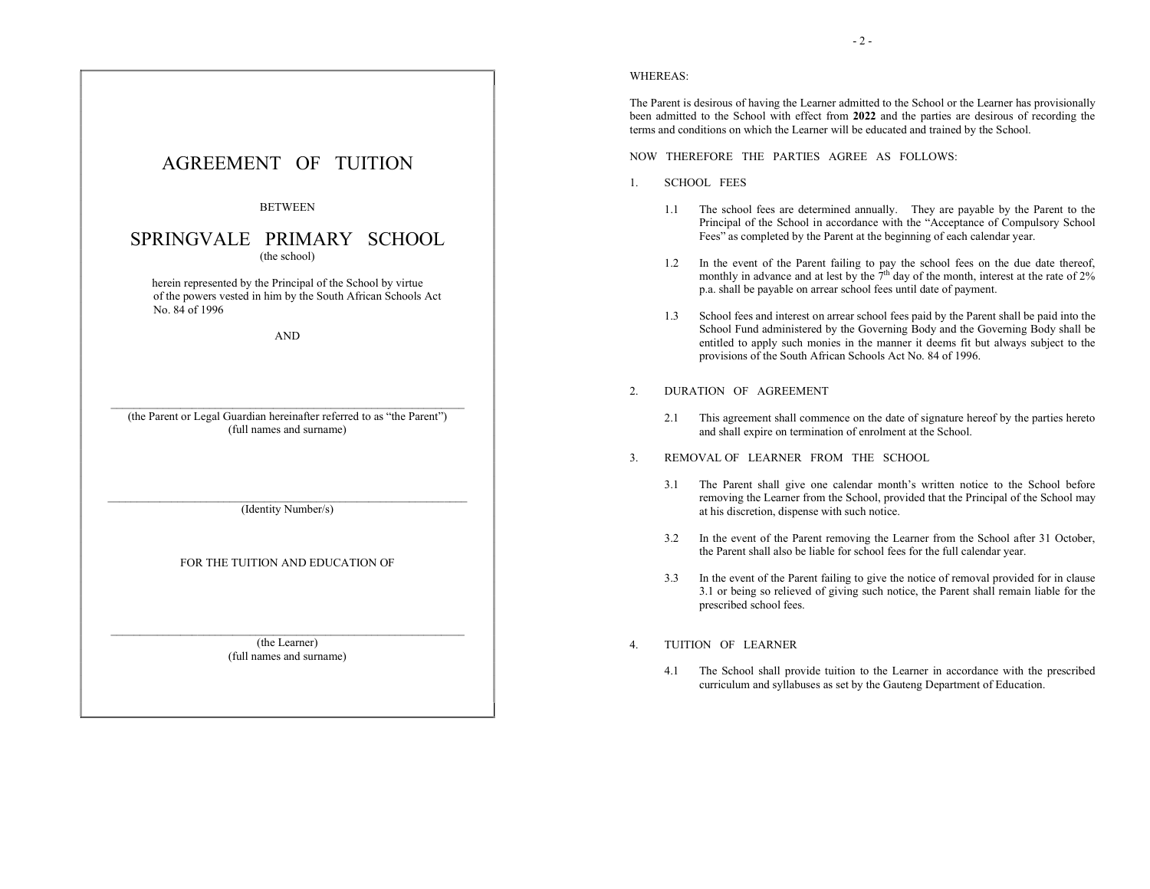

(the Parent or Legal Guardian hereinafter referred to as "the Parent") (full names and surname)

No. 84 of 1996

(Identity Number/s)

FOR THE TUITION AND EDUCATION OF

(the Learner) (full names and surname)

### WHEREAS:

The Parent is desirous of having the Learner admitted to the School or the Learner has provisionally been admitted to the School with effect from 2022 and the parties are desirous of recording the terms and conditions on which the Learner will be educated and trained by the School.

NOW THEREFORE THE PARTIES AGREE AS FOLLOWS:

- 1. SCHOOL FEES
	- 1.1 The school fees are determined annually. They are payable by the Parent to the Principal of the School in accordance with the "Acceptance of Compulsory School Fees" as completed by the Parent at the beginning of each calendar year.
	- 1.2 In the event of the Parent failing to pay the school fees on the due date thereof, monthly in advance and at lest by the  $7<sup>th</sup>$  day of the month, interest at the rate of 2% p.a. shall be payable on arrear school fees until date of payment.
	- 1.3 School fees and interest on arrear school fees paid by the Parent shall be paid into the School Fund administered by the Governing Body and the Governing Body shall be entitled to apply such monies in the manner it deems fit but always subject to the provisions of the South African Schools Act No. 84 of 1996.
- 2. DURATION OF AGREEMENT
	- 2.1 This agreement shall commence on the date of signature hereof by the parties hereto and shall expire on termination of enrolment at the School.
- 3. REMOVAL OF LEARNER FROM THE SCHOOL
	- 3.1 The Parent shall give one calendar month's written notice to the School before removing the Learner from the School, provided that the Principal of the School may at his discretion, dispense with such notice.
	- 3.2 In the event of the Parent removing the Learner from the School after 31 October, the Parent shall also be liable for school fees for the full calendar year.
	- 3.3 In the event of the Parent failing to give the notice of removal provided for in clause 3.1 or being so relieved of giving such notice, the Parent shall remain liable for the prescribed school fees.

## 4. TUITION OF LEARNER

4.1 The School shall provide tuition to the Learner in accordance with the prescribed curriculum and syllabuses as set by the Gauteng Department of Education.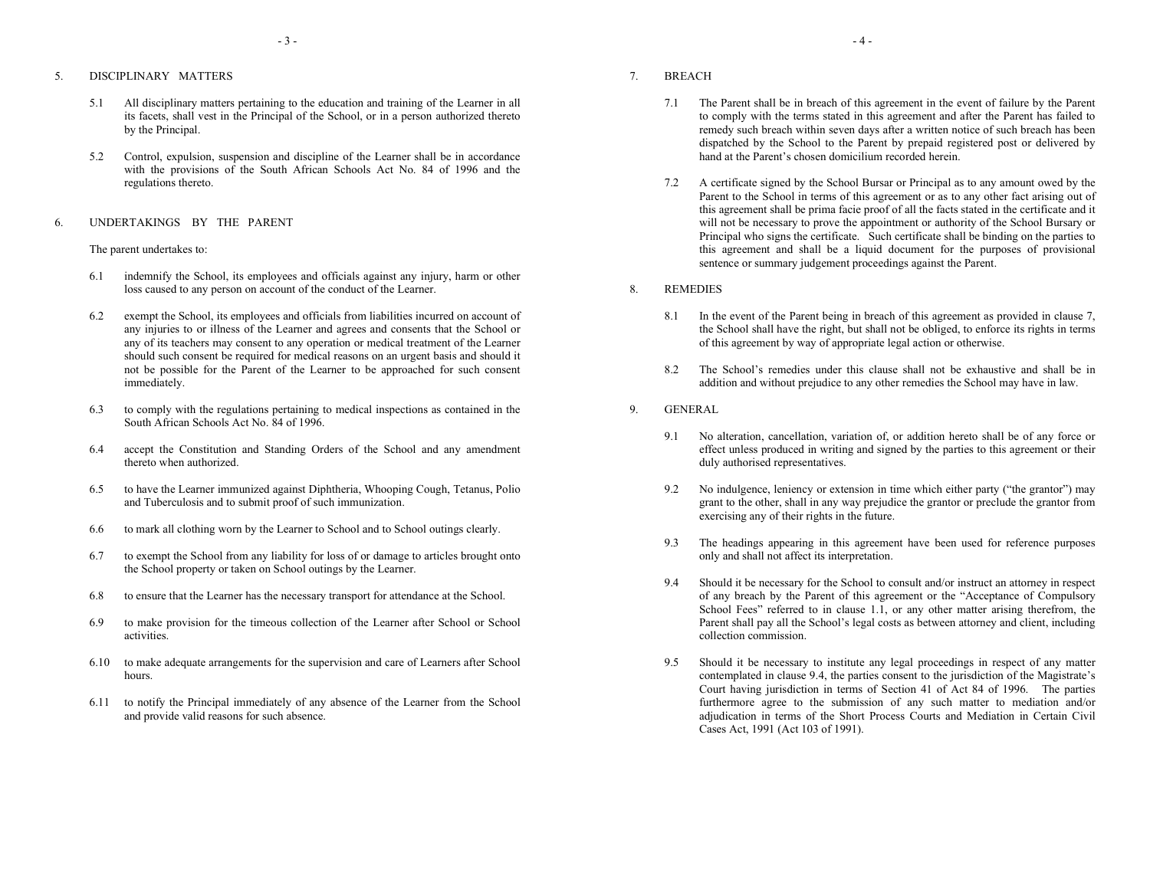# 5. DISCIPLINARY MATTERS

- 5.1 All disciplinary matters pertaining to the education and training of the Learner in all its facets, shall vest in the Principal of the School, or in a person authorized thereto by the Principal.
- 5.2 Control, expulsion, suspension and discipline of the Learner shall be in accordance with the provisions of the South African Schools Act No. 84 of 1996 and the regulations thereto.

### 6. UNDERTAKINGS BY THE PARENT

### The parent undertakes to:

- 6.1 indemnify the School, its employees and officials against any injury, harm or other loss caused to any person on account of the conduct of the Learner.
- 6.2 exempt the School, its employees and officials from liabilities incurred on account of any injuries to or illness of the Learner and agrees and consents that the School or any of its teachers may consent to any operation or medical treatment of the Learner should such consent be required for medical reasons on an urgent basis and should it not be possible for the Parent of the Learner to be approached for such consent immediately.
- 6.3 to comply with the regulations pertaining to medical inspections as contained in the South African Schools Act No. 84 of 1996.
- 6.4 accept the Constitution and Standing Orders of the School and any amendment thereto when authorized.
- 6.5 to have the Learner immunized against Diphtheria, Whooping Cough, Tetanus, Polio and Tuberculosis and to submit proof of such immunization.
- 6.6 to mark all clothing worn by the Learner to School and to School outings clearly.
- 6.7 to exempt the School from any liability for loss of or damage to articles brought onto the School property or taken on School outings by the Learner.
- 6.8 to ensure that the Learner has the necessary transport for attendance at the School.
- 6.9 to make provision for the timeous collection of the Learner after School or School activities.
- 6.10 to make adequate arrangements for the supervision and care of Learners after School hours.
- 6.11 to notify the Principal immediately of any absence of the Learner from the School and provide valid reasons for such absence.
- 7. BREACH
	- 7.1 The Parent shall be in breach of this agreement in the event of failure by the Parent to comply with the terms stated in this agreement and after the Parent has failed to remedy such breach within seven days after a written notice of such breach has been dispatched by the School to the Parent by prepaid registered post or delivered by hand at the Parent's chosen domicilium recorded herein.
	- 7.2 A certificate signed by the School Bursar or Principal as to any amount owed by the Parent to the School in terms of this agreement or as to any other fact arising out of this agreement shall be prima facie proof of all the facts stated in the certificate and it will not be necessary to prove the appointment or authority of the School Bursary or Principal who signs the certificate. Such certificate shall be binding on the parties to this agreement and shall be a liquid document for the purposes of provisional sentence or summary judgement proceedings against the Parent.
- 8. REMEDIES
	- 8.1 In the event of the Parent being in breach of this agreement as provided in clause 7, the School shall have the right, but shall not be obliged, to enforce its rights in terms of this agreement by way of appropriate legal action or otherwise.
	- 8.2 The School's remedies under this clause shall not be exhaustive and shall be in addition and without prejudice to any other remedies the School may have in law.
- 9. GENERAL
	- 9.1 No alteration, cancellation, variation of, or addition hereto shall be of any force or effect unless produced in writing and signed by the parties to this agreement or their duly authorised representatives.
	- 9.2 No indulgence, leniency or extension in time which either party ("the grantor") may grant to the other, shall in any way prejudice the grantor or preclude the grantor from exercising any of their rights in the future.
	- 9.3 The headings appearing in this agreement have been used for reference purposes only and shall not affect its interpretation.
	- 9.4 Should it be necessary for the School to consult and/or instruct an attorney in respect of any breach by the Parent of this agreement or the "Acceptance of Compulsory School Fees" referred to in clause 1.1, or any other matter arising therefrom, the Parent shall pay all the School's legal costs as between attorney and client, including collection commission.
	- 9.5 Should it be necessary to institute any legal proceedings in respect of any matter contemplated in clause 9.4, the parties consent to the jurisdiction of the Magistrate's Court having jurisdiction in terms of Section 41 of Act 84 of 1996. The parties furthermore agree to the submission of any such matter to mediation and/or adjudication in terms of the Short Process Courts and Mediation in Certain Civil Cases Act, 1991 (Act 103 of 1991).